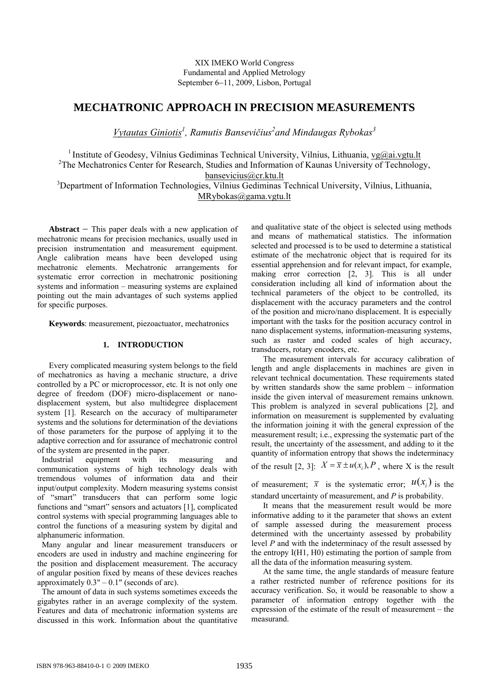XIX IMEKO World Congress Fundamental and Applied Metrology September 6−11, 2009, Lisbon, Portugal

# **MECHATRONIC APPROACH IN PRECISION MEASUREMENTS**

*Vytautas Giniotis1 , Ramutis Bansevičius<sup>2</sup> and Mindaugas Rybokas<sup>3</sup>*

<sup>1</sup> Institute of Geodesy, Vilnius Gediminas Technical University, Vilnius, Lithuania,  $v g(\omega)$ ai.vgtu.lt <sup>2</sup>The Mechatronics Center for Research, Studies and Information of Kaunas University of Technology, **bansevicius** @cr.ktu.lt <br><sup>3</sup> Department of Information Technologies, Vilnius Gediminas Technical University, Vilnius, Lithuania, MRybokas@gama.vgtu.lt

**Abstract** − This paper deals with a new application of mechatronic means for precision mechanics, usually used in precision instrumentation and measurement equipment. Angle calibration means have been developed using mechatronic elements. Mechatronic arrangements for systematic error correction in mechatronic positioning systems and information – measuring systems are explained pointing out the main advantages of such systems applied for specific purposes.

**Keywords**: measurement, piezoactuator, mechatronics

## **1. INTRODUCTION**

Every complicated measuring system belongs to the field of mechatronics as having a mechanic structure, a drive controlled by a PC or microprocessor, etc. It is not only one degree of freedom (DOF) micro-displacement or nanodisplacement system, but also multidegree displacement system [1]. Research on the accuracy of multiparameter systems and the solutions for determination of the deviations of those parameters for the purpose of applying it to the adaptive correction and for assurance of mechatronic control of the system are presented in the paper.

Industrial equipment with its measuring and communication systems of high technology deals with tremendous volumes of information data and their input/output complexity. Modern measuring systems consist of "smart" transducers that can perform some logic functions and "smart" sensors and actuators [1], complicated control systems with special programming languages able to control the functions of a measuring system by digital and alphanumeric information.

Many angular and linear measurement transducers or encoders are used in industry and machine engineering for the position and displacement measurement. The accuracy of angular position fixed by means of these devices reaches approximately  $0.3" - 0.1"$  (seconds of arc).

The amount of data in such systems sometimes exceeds the gigabytes rather in an average complexity of the system. Features and data of mechatronic information systems are discussed in this work. Information about the quantitative and qualitative state of the object is selected using methods and means of mathematical statistics. The information selected and processed is to be used to determine a statistical estimate of the mechatronic object that is required for its essential apprehension and for relevant impact, for example, making error correction [2, 3]. This is all under consideration including all kind of information about the technical parameters of the object to be controlled, its displacement with the accuracy parameters and the control of the position and micro/nano displacement. It is especially important with the tasks for the position accuracy control in nano displacement systems, information-measuring systems, such as raster and coded scales of high accuracy, transducers, rotary encoders, etc.

 The measurement intervals for accuracy calibration of length and angle displacements in machines are given in relevant technical documentation. These requirements stated by written standards show the same problem – information inside the given interval of measurement remains unknown. This problem is analyzed in several publications [2], and information on measurement is supplemented by evaluating the information joining it with the general expression of the measurement result; i.e., expressing the systematic part of the result, the uncertainty of the assessment, and adding to it the quantity of information entropy that shows the indeterminacy of the result [2, 3]:  $X = \overline{x} \pm u(x_i), P$ , where X is the result

of measurement;  $\bar{x}$  is the systematic error;  $u(x_i)$  is the standard uncertainty of measurement, and *P* is probability.

 It means that the measurement result would be more informative adding to it the parameter that shows an extent of sample assessed during the measurement process determined with the uncertainty assessed by probability level *P* and with the indeterminacy of the result assessed by the entropy I(H1, H0) estimating the portion of sample from all the data of the information measuring system.

 At the same time, the angle standards of measure feature a rather restricted number of reference positions for its accuracy verification. So, it would be reasonable to show a parameter of information entropy together with the expression of the estimate of the result of measurement – the measurand.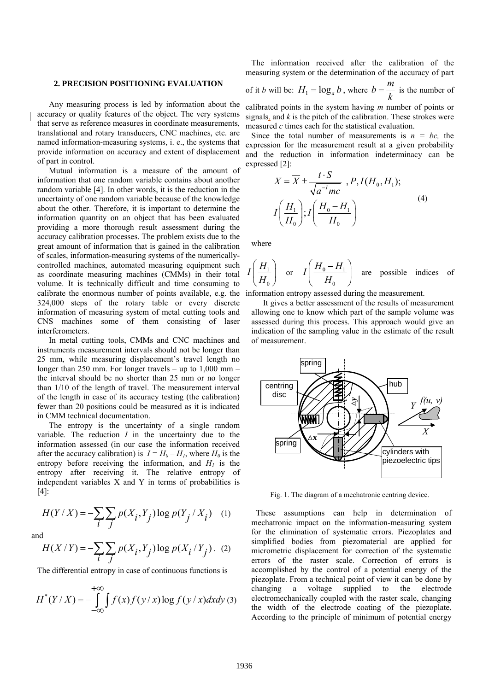## **2. PRECISION POSITIONING EVALUATION**

 Any measuring process is led by information about the accuracy or quality features of the object. The very systems that serve as reference measures in coordinate measurements, translational and rotary transducers, CNC machines, etc. are named information-measuring systems, i. e., the systems that provide information on accuracy and extent of displacement of part in control.

 Mutual information is a measure of the amount of information that one random variable contains about another random variable [4]. In other words, it is the reduction in the uncertainty of one random variable because of the knowledge about the other. Therefore, it is important to determine the information quantity on an object that has been evaluated providing a more thorough result assessment during the accuracy calibration processes. The problem exists due to the great amount of information that is gained in the calibration of scales, information-measuring systems of the numericallycontrolled machines, automated measuring equipment such as coordinate measuring machines (CMMs) in their total volume. It is technically difficult and time consuming to calibrate the enormous number of points available, e.g. the 324,000 steps of the rotary table or every discrete information of measuring system of metal cutting tools and CNS machines some of them consisting of laser interferometers.

 In metal cutting tools, CMMs and CNC machines and instruments measurement intervals should not be longer than 25 mm, while measuring displacement's travel length no longer than 250 mm. For longer travels – up to 1,000 mm – the interval should be no shorter than 25 mm or no longer than 1/10 of the length of travel. The measurement interval of the length in case of its accuracy testing (the calibration) fewer than 20 positions could be measured as it is indicated in CMM technical documentation.

 The entropy is the uncertainty of a single random variable. The reduction  $I$  in the uncertainty due to the information assessed (in our case the information received after the accuracy calibration) is  $I = H_0 - H_1$ , where  $H_0$  is the entropy before receiving the information, and  $H<sub>1</sub>$  is the entropy after receiving it. The relative entropy of independent variables X and Y in terms of probabilities is [4]:

$$
H(Y/X) = -\sum_{i} \sum_{j} p(X_i, Y_j) \log p(Y_j / X_i) \quad (1)
$$

and

$$
H(X/Y) = -\sum_{i} \sum_{j} p(X_i, Y_j) \log p(X_i/Y_j)
$$
. (2)

The differential entropy in case of continuous functions is

$$
H^*(Y/X) = -\int_{-\infty}^{+\infty} \int f(x)f(y/x)\log f(y/x)dxdy
$$
 (3)

 The information received after the calibration of the measuring system or the determination of the accuracy of part

of it *b* will be: 
$$
H_1 = \log_a b
$$
, where  $b = \frac{m}{k}$  is the number of  
calibrated points in the system having *m* number of points or  
signals<sub>a</sub> and *k* is the pitch of the calibration. These strokes were

measured *c* times each for the statistical evaluation. Since the total number of measurements is  $n = bc$ , the expression for the measurement result at a given probability and the reduction in information indeterminacy can be expressed [2]:

$$
X = \overline{X} \pm \frac{t \cdot S}{\sqrt{a^{-t}mc}}
$$
,  $P, I(H_0, H_1)$ ;  

$$
I\left(\frac{H_1}{H_0}\right); I\left(\frac{H_0 - H_1}{H_0}\right)
$$
 (4)

where

$$
I\left(\frac{H_1}{H_0}\right)
$$
 or  $I\left(\frac{H_0 - H_1}{H_0}\right)$  are possible indices of

information entropy assessed during the measurement.

 It gives a better assessment of the results of measurement allowing one to know which part of the sample volume was assessed during this process. This approach would give an indication of the sampling value in the estimate of the result of measurement.



Fig. 1. The diagram of a mechatronic centring device.

These assumptions can help in determination of mechatronic impact on the information-measuring system for the elimination of systematic errors. Piezoplates and simplified bodies from piezomaterial are applied for micrometric displacement for correction of the systematic errors of the raster scale. Correction of errors is accomplished by the control of a potential energy of the piezoplate. From a technical point of view it can be done by changing a voltage supplied to the electrode electromechanically coupled with the raster scale, changing the width of the electrode coating of the piezoplate. According to the principle of minimum of potential energy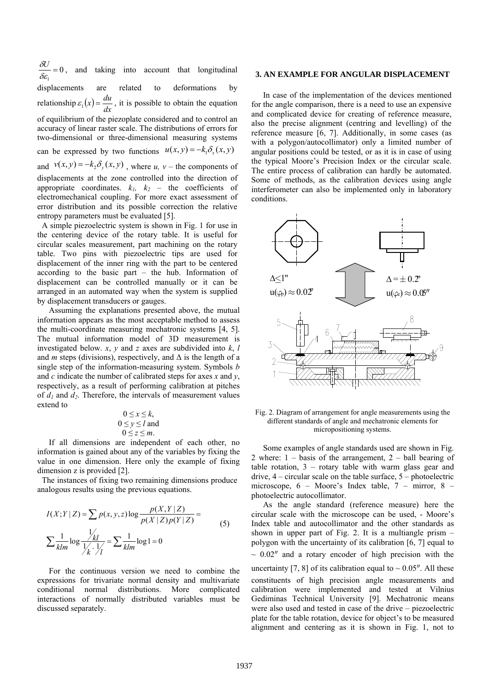0  $\frac{\delta U}{\delta \varepsilon_1} = 0$ , and taking into account that longitudinal displacements are related to deformations by relationship  $\varepsilon_1(x) = \frac{du}{dx}$ , it is possible to obtain the equation of equilibrium of the piezoplate considered and to control an accuracy of linear raster scale. The distributions of errors for two-dimensional or three-dimensional measuring systems can be expressed by two functions  $u(x, y) = -k_1 \delta_x(x, y)$ and  $v(x, y) = -k_2 \delta_y(x, y)$ , where *u*, *v* – the components of displacements at the zone controlled into the direction of appropriate coordinates.  $k_1$ ,  $k_2$  – the coefficients of electromechanical coupling. For more exact assessment of error distribution and its possible correction the relative

entropy parameters must be evaluated [5]. A simple piezoelectric system is shown in Fig. 1 for use in the centering device of the rotary table. It is useful for circular scales measurement, part machining on the rotary table. Two pins with piezoelectric tips are used for displacement of the inner ring with the part to be centered according to the basic part – the hub. Information of displacement can be controlled manually or it can be arranged in an automated way when the system is supplied by displacement transducers or gauges.

 Assuming the explanations presented above, the mutual information appears as the most acceptable method to assess the multi-coordinate measuring mechatronic systems [4, 5]. The mutual information model of 3D measurement is investigated below. *x*, *y* and *z* axes are subdivided into *k*, *l* and *m* steps (divisions), respectively, and  $\Delta$  is the length of a single step of the information-measuring system. Symbols *b* and *c* indicate the number of calibrated steps for axes *x* and *y*, respectively, as a result of performing calibration at pitches of  $d_1$  and  $d_2$ . Therefore, the intervals of measurement values extend to

$$
0 \le x \le k,
$$
  
\n
$$
0 \le y \le l
$$
 and  
\n
$$
0 \le z \le m.
$$

 If all dimensions are independent of each other, no information is gained about any of the variables by fixing the value in one dimension. Here only the example of fixing dimension z is provided [2].

The instances of fixing two remaining dimensions produce analogous results using the previous equations.

$$
I(X;Y|Z) = \sum p(x, y, z) \log \frac{p(X, Y|Z)}{p(X|Z)p(Y|Z)} =
$$
  

$$
\sum \frac{1}{klm} \log \frac{\frac{1}{1/2}}{\frac{1}{k} \cdot \frac{1}{1/2}} = \sum \frac{1}{klm} \log 1 = 0
$$
 (5)

 For the continuous version we need to combine the expressions for trivariate normal density and multivariate conditional normal distributions. More complicated interactions of normally distributed variables must be discussed separately.

## **3. AN EXAMPLE FOR ANGULAR DISPLACEMENT**

In case of the implementation of the devices mentioned for the angle comparison, there is a need to use an expensive and complicated device for creating of reference measure, also the precise alignment (centring and levelling) of the reference measure [6, 7]. Additionally, in some cases (as with a polygon/autocollimator) only a limited number of angular positions could be tested, or as it is in case of using the typical Moore's Precision Index or the circular scale. The entire process of calibration can hardly be automated. Some of methods, as the calibration devices using angle interferometer can also be implemented only in laboratory conditions.



Fig. 2. Diagram of arrangement for angle measurements using the different standards of angle and mechatronic elements for micropositioning systems.

 Some examples of angle standards used are shown in Fig. 2 where: 1 – basis of the arrangement, 2 – ball bearing of table rotation,  $3 -$  rotary table with warm glass gear and drive, 4 – circular scale on the table surface, 5 – photoelectric microscope, 6 – Moore's Index table, 7 – mirror, 8 – photoelectric autocollimator.

 As the angle standard (reference measure) here the circular scale with the microscope can be used, - Moore's Index table and autocollimator and the other standards as shown in upper part of Fig. 2. It is a multiangle prism – polygon with the uncertainty of its calibration [6, 7] equal to  $\sim 0.02$ <sup>"</sup> and a rotary encoder of high precision with the uncertainty [7, 8] of its calibration equal to  $\sim 0.05''$ . All these constituents of high precision angle measurements and calibration were implemented and tested at Vilnius Gediminas Technical University [9]. Mechatronic means were also used and tested in case of the drive – piezoelectric plate for the table rotation, device for object's to be measured alignment and centering as it is shown in Fig. 1, not to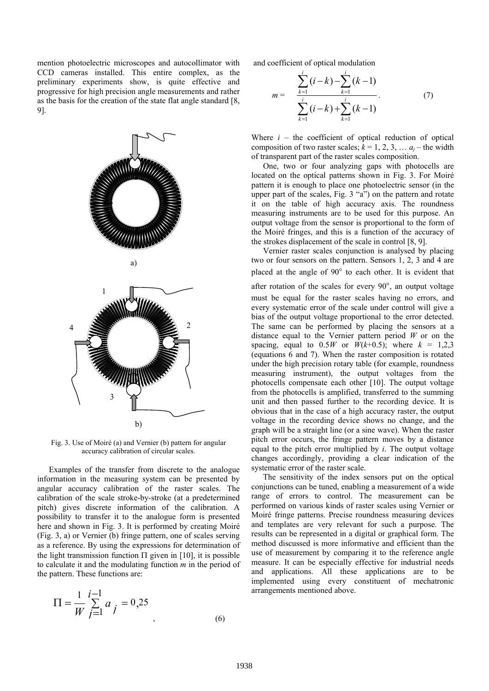mention photoelectric microscopes and autocollimator with CCD cameras installed. This entire complex, as the preliminary experiments show, is quite effective and progressive for high precision angle measurements and rather as the basis for the creation of the state flat angle standard [8, 9].



Fig. 3. Use of Moiré (a) and Vernier (b) pattern for angular accuracy calibration of circular scales.

 Examples of the transfer from discrete to the analogue information in the measuring system can be presented by angular accuracy calibration of the raster scales. The calibration of the scale stroke-by-stroke (at a predetermined pitch) gives discrete information of the calibration. A possibility to transfer it to the analogue form is presented here and shown in Fig. 3. It is performed by creating Moiré (Fig. 3, a) or Vernier (b) fringe pattern, one of scales serving as a reference. By using the expressions for determination of the light transmission function  $\Pi$  given in [10], it is possible to calculate it and the modulating function *m* in the period of the pattern. These functions are:

$$
\Pi = \frac{1}{W} \sum_{j=1}^{i-1} a_j = 0.25
$$
\n(6)

and coefficient of optical modulation

$$
m = \sum_{k=1}^{i} (i-k) - \sum_{k=1}^{i} (k-1)
$$
  

$$
\sum_{k=1}^{i} (i-k) + \sum_{k=1}^{i} (k-1)
$$
 (7)

Where  $i$  – the coefficient of optical reduction of optical composition of two raster scales;  $k = 1, 2, 3, \ldots a_j$  – the width of transparent part of the raster scales composition.

 One, two or four analyzing gaps with photocells are located on the optical patterns shown in Fig. 3. For Moiré pattern it is enough to place one photoelectric sensor (in the upper part of the scales, Fig. 3 "a") on the pattern and rotate it on the table of high accuracy axis. The roundness measuring instruments are to be used for this purpose. An output voltage from the sensor is proportional to the form of the Moiré fringes, and this is a function of the accuracy of the strokes displacement of the scale in control [8, 9].

 Vernier raster scales conjunction is analysed by placing two or four sensors on the pattern. Sensors 1, 2, 3 and 4 are placed at the angle of 90° to each other. It is evident that after rotation of the scales for every 90°, an output voltage must be equal for the raster scales having no errors, and every systematic error of the scale under control will give a bias of the output voltage proportional to the error detected. The same can be performed by placing the sensors at a distance equal to the Vernier pattern period *W* or on the spacing, equal to  $0.5W$  or  $W(k+0.5)$ ; where  $k = 1,2,3$ (equations 6 and 7). When the raster composition is rotated under the high precision rotary table (for example, roundness measuring instrument), the output voltages from the photocells compensate each other [10]. The output voltage from the photocells is amplified, transferred to the summing unit and then passed further to the recording device. It is obvious that in the case of a high accuracy raster, the output voltage in the recording device shows no change, and the graph will be a straight line (or a sine wave). When the raster pitch error occurs, the fringe pattern moves by a distance equal to the pitch error multiplied by *i*. The output voltage changes accordingly, providing a clear indication of the systematic error of the raster scale.

 The sensitivity of the index sensors put on the optical conjunctions can be tuned, enabling a measurement of a wide range of errors to control. The measurement can be performed on various kinds of raster scales using Vernier or Moiré fringe patterns. Precise roundness measuring devices and templates are very relevant for such a purpose. The results can be represented in a digital or graphical form. The method discussed is more informative and efficient than the use of measurement by comparing it to the reference angle measure. It can be especially effective for industrial needs and applications. All these applications are to be implemented using every constituent of mechatronic arrangements mentioned above.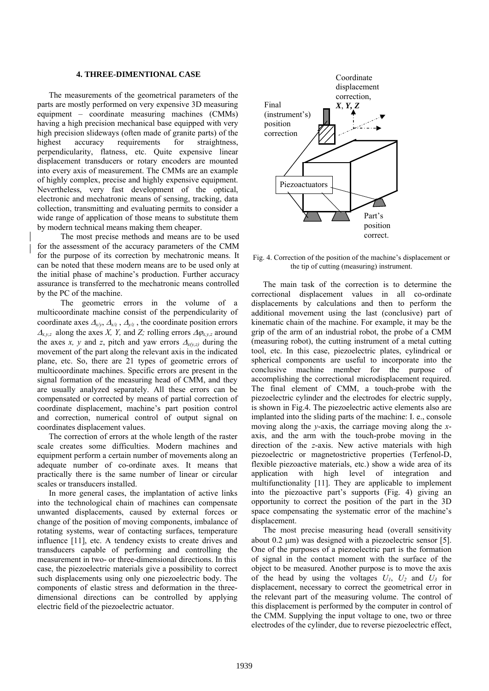## **4. THREE-DIMENTIONAL CASE**

 The measurements of the geometrical parameters of the parts are mostly performed on very expensive 3D measuring equipment – coordinate measuring machines (CMMs) having a high precision mechanical base equipped with very high precision slideways (often made of granite parts) of the highest accuracy requirements for straightness, perpendicularity, flatness, etc. Quite expensive linear displacement transducers or rotary encoders are mounted into every axis of measurement. The CMMs are an example of highly complex, precise and highly expensive equipment. Nevertheless, very fast development of the optical, electronic and mechatronic means of sensing, tracking, data collection, transmitting and evaluating permits to consider a wide range of application of those means to substitute them by modern technical means making them cheaper.

The most precise methods and means are to be used for the assessment of the accuracy parameters of the CMM for the purpose of its correction by mechatronic means. It can be noted that these modern means are to be used only at the initial phase of machine's production. Further accuracy assurance is transferred to the mechatronic means controlled by the PC of the machine.

The geometric errors in the volume of a multicoordinate machine consist of the perpendicularity of coordinate axes  $\Delta_{x/y}$ ,  $\Delta_{x/z}$ ,  $\Delta_{y/z}$ , the coordinate position errors  $\Delta_{x,y,z}$  along the axes *X, Y,* and *Z;* rolling errors  $\Delta \varphi_{x,y,z}$  around the axes *x*, *y* and *z*, pitch and yaw errors  $\Delta_{x(y,z)}$  during the movement of the part along the relevant axis in the indicated plane, etc. So, there are 21 types of geometric errors of multicoordinate machines. Specific errors are present in the signal formation of the measuring head of CMM, and they are usually analyzed separately. All these errors can be compensated or corrected by means of partial correction of coordinate displacement, machine's part position control and correction, numerical control of output signal on coordinates displacement values.

 The correction of errors at the whole length of the raster scale creates some difficulties. Modern machines and equipment perform a certain number of movements along an adequate number of co-ordinate axes. It means that practically there is the same number of linear or circular scales or transducers installed.

 In more general cases, the implantation of active links into the technological chain of machines can compensate unwanted displacements, caused by external forces or change of the position of moving components, imbalance of rotating systems, wear of contacting surfaces, temperature influence [11], etc. A tendency exists to create drives and transducers capable of performing and controlling the measurement in two- or three-dimensional directions. In this case, the piezoelectric materials give a possibility to correct such displacements using only one piezoelectric body. The components of elastic stress and deformation in the threedimensional directions can be controlled by applying electric field of the piezoelectric actuator.



Fig. 4. Correction of the position of the machine's displacement or the tip of cutting (measuring) instrument.

 The main task of the correction is to determine the correctional displacement values in all co-ordinate displacements by calculations and then to perform the additional movement using the last (conclusive) part of kinematic chain of the machine. For example, it may be the grip of the arm of an industrial robot, the probe of a CMM (measuring robot), the cutting instrument of a metal cutting tool, etc. In this case, piezoelectric plates, cylindrical or spherical components are useful to incorporate into the conclusive machine member for the purpose of accomplishing the correctional microdisplacement required. The final element of CMM, a touch-probe with the piezoelectric cylinder and the electrodes for electric supply, is shown in Fig.4. The piezoelectric active elements also are implanted into the sliding parts of the machine: I. e., console moving along the *y*-axis, the carriage moving along the *x*axis, and the arm with the touch-probe moving in the direction of the *z*-axis. New active materials with high piezoelectric or magnetostrictive properties (Terfenol-D, flexible piezoactive materials, etc.) show a wide area of its application with high level of integration and multifunctionality [11]. They are applicable to implement into the piezoactive part's supports (Fig. 4) giving an opportunity to correct the position of the part in the 3D space compensating the systematic error of the machine's displacement.

 The most precise measuring head (overall sensitivity about 0.2 μm) was designed with a piezoelectric sensor [5]. One of the purposes of a piezoelectric part is the formation of signal in the contact moment with the surface of the object to be measured. Another purpose is to move the axis of the head by using the voltages  $U_1$ ,  $U_2$  and  $U_3$  for displacement, necessary to correct the geometrical error in the relevant part of the measuring volume. The control of this displacement is performed by the computer in control of the CMM. Supplying the input voltage to one, two or three electrodes of the cylinder, due to reverse piezoelectric effect,